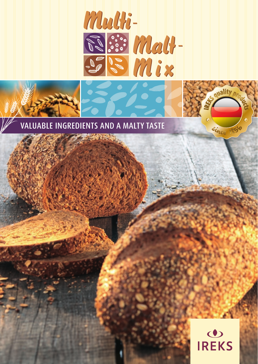





Since 1856